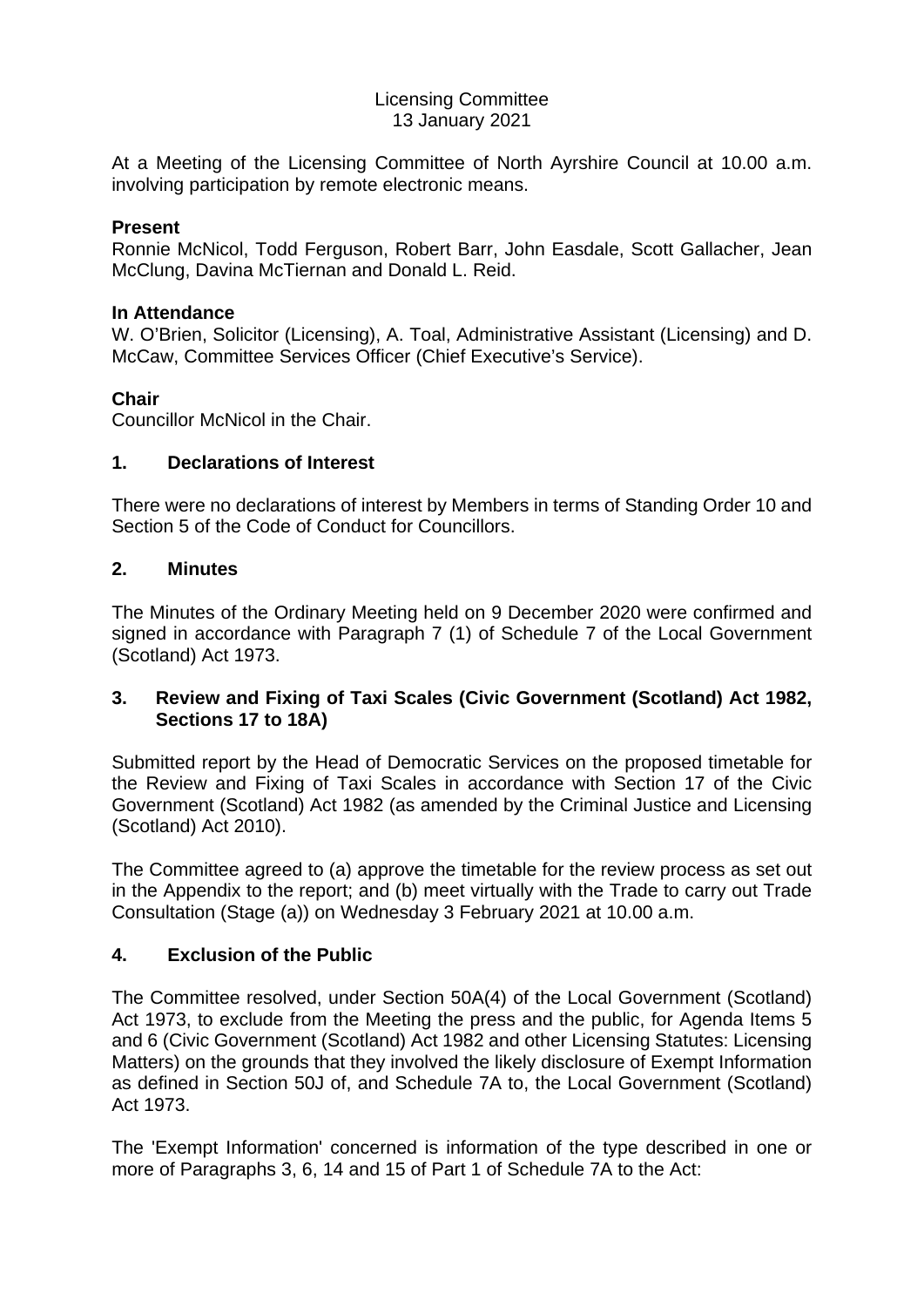### Licensing Committee 13 January 2021

At a Meeting of the Licensing Committee of North Ayrshire Council at 10.00 a.m. involving participation by remote electronic means.

### **Present**

Ronnie McNicol, Todd Ferguson, Robert Barr, John Easdale, Scott Gallacher, Jean McClung, Davina McTiernan and Donald L. Reid.

#### **In Attendance**

W. O'Brien, Solicitor (Licensing), A. Toal, Administrative Assistant (Licensing) and D. McCaw, Committee Services Officer (Chief Executive's Service).

### **Chair**

Councillor McNicol in the Chair.

#### **1. Declarations of Interest**

There were no declarations of interest by Members in terms of Standing Order 10 and Section 5 of the Code of Conduct for Councillors.

### **2. Minutes**

The Minutes of the Ordinary Meeting held on 9 December 2020 were confirmed and signed in accordance with Paragraph 7 (1) of Schedule 7 of the Local Government (Scotland) Act 1973.

## **3. Review and Fixing of Taxi Scales (Civic Government (Scotland) Act 1982, Sections 17 to 18A)**

Submitted report by the Head of Democratic Services on the proposed timetable for the Review and Fixing of Taxi Scales in accordance with Section 17 of the Civic Government (Scotland) Act 1982 (as amended by the Criminal Justice and Licensing (Scotland) Act 2010).

The Committee agreed to (a) approve the timetable for the review process as set out in the Appendix to the report; and (b) meet virtually with the Trade to carry out Trade Consultation (Stage (a)) on Wednesday 3 February 2021 at 10.00 a.m.

### **4. Exclusion of the Public**

The Committee resolved, under Section 50A(4) of the Local Government (Scotland) Act 1973, to exclude from the Meeting the press and the public, for Agenda Items 5 and 6 (Civic Government (Scotland) Act 1982 and other Licensing Statutes: Licensing Matters) on the grounds that they involved the likely disclosure of Exempt Information as defined in Section 50J of, and Schedule 7A to, the Local Government (Scotland) Act 1973.

The 'Exempt Information' concerned is information of the type described in one or more of Paragraphs 3, 6, 14 and 15 of Part 1 of Schedule 7A to the Act: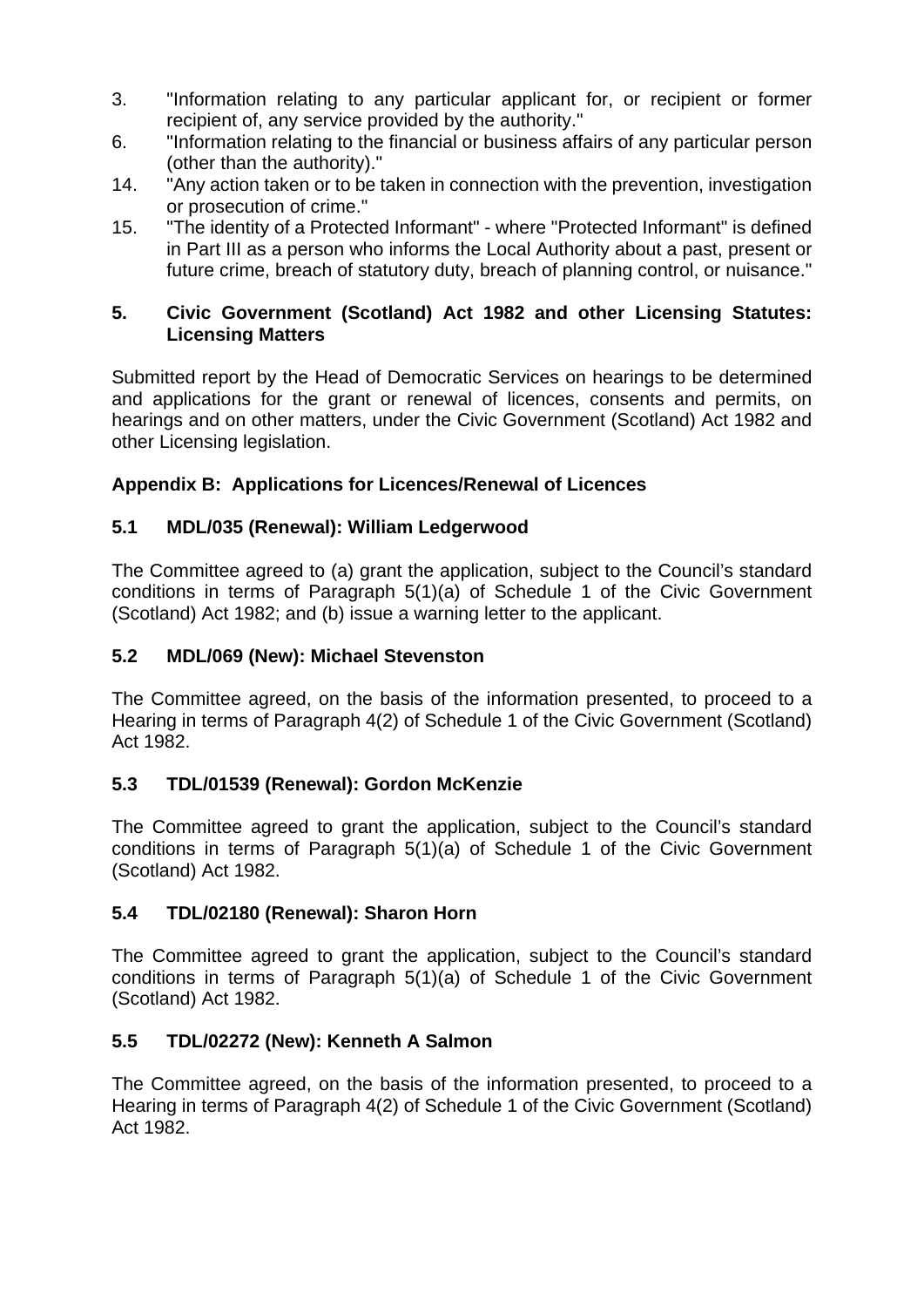- 3. "Information relating to any particular applicant for, or recipient or former recipient of, any service provided by the authority."
- 6. "Information relating to the financial or business affairs of any particular person (other than the authority)."
- 14. "Any action taken or to be taken in connection with the prevention, investigation or prosecution of crime."
- 15. "The identity of a Protected Informant" where "Protected Informant" is defined in Part III as a person who informs the Local Authority about a past, present or future crime, breach of statutory duty, breach of planning control, or nuisance."

## **5. Civic Government (Scotland) Act 1982 and other Licensing Statutes: Licensing Matters**

Submitted report by the Head of Democratic Services on hearings to be determined and applications for the grant or renewal of licences, consents and permits, on hearings and on other matters, under the Civic Government (Scotland) Act 1982 and other Licensing legislation.

# **Appendix B: Applications for Licences/Renewal of Licences**

# **5.1 MDL/035 (Renewal): William Ledgerwood**

The Committee agreed to (a) grant the application, subject to the Council's standard conditions in terms of Paragraph 5(1)(a) of Schedule 1 of the Civic Government (Scotland) Act 1982; and (b) issue a warning letter to the applicant.

# **5.2 MDL/069 (New): Michael Stevenston**

The Committee agreed, on the basis of the information presented, to proceed to a Hearing in terms of Paragraph 4(2) of Schedule 1 of the Civic Government (Scotland) Act 1982.

# **5.3 TDL/01539 (Renewal): Gordon McKenzie**

The Committee agreed to grant the application, subject to the Council's standard conditions in terms of Paragraph 5(1)(a) of Schedule 1 of the Civic Government (Scotland) Act 1982.

# **5.4 TDL/02180 (Renewal): Sharon Horn**

The Committee agreed to grant the application, subject to the Council's standard conditions in terms of Paragraph 5(1)(a) of Schedule 1 of the Civic Government (Scotland) Act 1982.

# **5.5 TDL/02272 (New): Kenneth A Salmon**

The Committee agreed, on the basis of the information presented, to proceed to a Hearing in terms of Paragraph 4(2) of Schedule 1 of the Civic Government (Scotland) Act 1982.